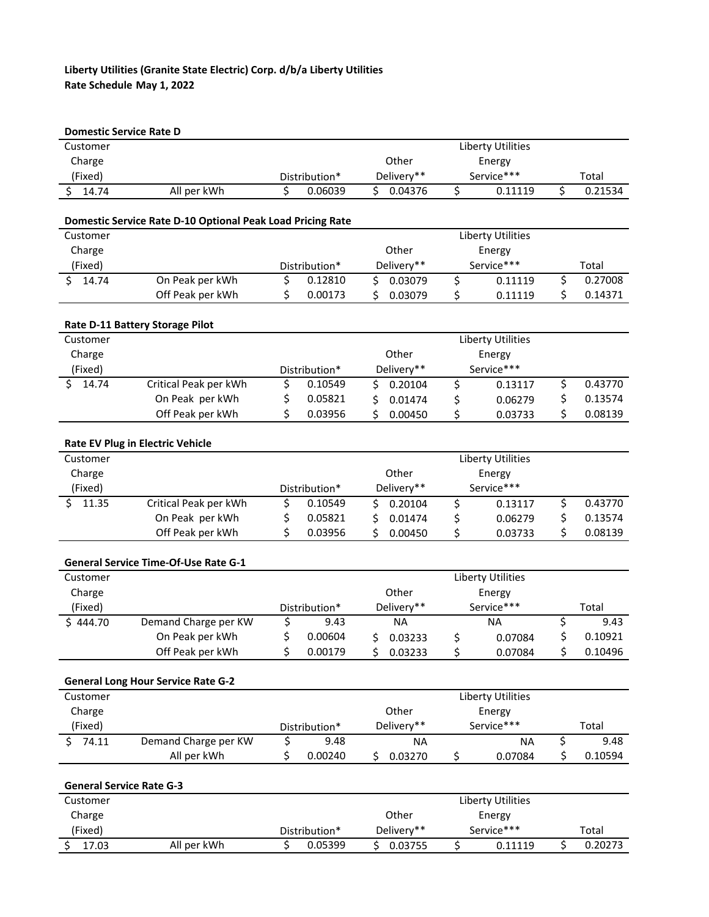## **Liberty Utilities (Granite State Electric) Corp. d/b/a Liberty Utilities Rate Schedule May 1, 2022**

| <b>Domestic Service Rate D</b>                                         |                                             |               |               |            |            |            |                          |    |         |
|------------------------------------------------------------------------|---------------------------------------------|---------------|---------------|------------|------------|------------|--------------------------|----|---------|
| Customer                                                               |                                             |               |               |            |            |            | Liberty Utilities        |    |         |
| Charge                                                                 |                                             |               |               | Other      |            | Energy     |                          |    |         |
| (Fixed)                                                                |                                             |               | Distribution* |            | Delivery** |            | Service***               |    | Total   |
| \$<br>14.74                                                            | All per kWh                                 | \$            | 0.06039       | Ś.         | 0.04376    | \$         | 0.11119                  | \$ | 0.21534 |
|                                                                        |                                             |               |               |            |            |            |                          |    |         |
| Domestic Service Rate D-10 Optional Peak Load Pricing Rate<br>Customer |                                             |               |               |            |            |            | <b>Liberty Utilities</b> |    |         |
| Charge                                                                 |                                             |               |               |            | Other      |            | Energy                   |    |         |
| (Fixed)                                                                |                                             |               | Distribution* |            | Delivery** |            | Service***               |    | Total   |
| 14.74<br>Ś.                                                            | On Peak per kWh                             | \$            | 0.12810       | \$         | 0.03079    | \$         | 0.11119                  | \$ | 0.27008 |
|                                                                        | Off Peak per kWh                            | \$            | 0.00173       | Ś          | 0.03079    | \$         | 0.11119                  | \$ | 0.14371 |
|                                                                        | Rate D-11 Battery Storage Pilot             |               |               |            |            |            |                          |    |         |
| Customer                                                               |                                             |               |               |            |            |            | <b>Liberty Utilities</b> |    |         |
| Charge                                                                 |                                             |               |               |            | Other      |            | Energy                   |    |         |
| (Fixed)                                                                |                                             | Distribution* |               |            | Delivery** |            | Service***               |    |         |
| Ś.<br>14.74                                                            | Critical Peak per kWh                       | \$            | 0.10549       | \$         | 0.20104    | \$         | 0.13117                  | \$ | 0.43770 |
|                                                                        | On Peak per kWh                             | \$            | 0.05821       | \$         | 0.01474    | \$         | 0.06279                  | \$ | 0.13574 |
|                                                                        | Off Peak per kWh                            | \$            | 0.03956       | Ś.         | 0.00450    | \$         | 0.03733                  | \$ | 0.08139 |
|                                                                        | <b>Rate EV Plug in Electric Vehicle</b>     |               |               |            |            |            |                          |    |         |
| Customer                                                               |                                             |               |               |            |            |            | Liberty Utilities        |    |         |
| Charge                                                                 |                                             |               |               |            | Other      |            | Energy                   |    |         |
| (Fixed)                                                                |                                             |               | Distribution* |            | Delivery** |            | Service***               |    |         |
| 11.35<br>Ś.                                                            | Critical Peak per kWh                       | \$            | 0.10549       | \$         | 0.20104    | \$         | 0.13117                  | \$ | 0.43770 |
|                                                                        | On Peak per kWh                             | \$            | 0.05821       | \$         | 0.01474    | \$         | 0.06279                  | \$ | 0.13574 |
|                                                                        | Off Peak per kWh                            | \$            | 0.03956       | Ś.         | 0.00450    | \$         | 0.03733                  | \$ | 0.08139 |
|                                                                        | <b>General Service Time-Of-Use Rate G-1</b> |               |               |            |            |            |                          |    |         |
| Customer                                                               |                                             |               |               |            |            |            | <b>Liberty Utilities</b> |    |         |
| Charge                                                                 |                                             |               |               | Other      |            | Energy     |                          |    |         |
| (Fixed)                                                                |                                             |               | Distribution* |            | Delivery** |            | Service***               |    | Total   |
| \$444.70                                                               | Demand Charge per KW                        | \$            | 9.43          |            | <b>NA</b>  |            | <b>NA</b>                | \$ | 9.43    |
|                                                                        | On Peak per kWh                             | \$            | 0.00604       | \$.        | 0.03233    | \$         | 0.07084                  | \$ | 0.10921 |
|                                                                        | Off Peak per kWh                            | \$            | 0.00179       | \$         | 0.03233    | \$         | 0.07084                  | \$ | 0.10496 |
|                                                                        | <b>General Long Hour Service Rate G-2</b>   |               |               |            |            |            |                          |    |         |
| Customer                                                               |                                             |               |               |            |            |            | <b>Liberty Utilities</b> |    |         |
| Charge                                                                 |                                             |               |               |            | Other      |            | Energy                   |    |         |
| (Fixed)                                                                |                                             | Distribution* |               | Delivery** |            | Service*** |                          |    | Total   |
| \$<br>74.11                                                            | Demand Charge per KW                        | \$            | 9.48          |            | <b>NA</b>  |            | <b>NA</b>                | \$ | 9.48    |
|                                                                        | All per kWh                                 | \$            | 0.00240       | \$         | 0.03270    | \$         | 0.07084                  | \$ | 0.10594 |
| <b>General Service Rate G-3</b>                                        |                                             |               |               |            |            |            |                          |    |         |
| Customer                                                               |                                             |               |               |            |            |            | <b>Liberty Utilities</b> |    |         |
| Charge                                                                 |                                             |               |               |            | Other      |            | Energy                   |    |         |
| (Fixed)                                                                |                                             |               | Distribution* |            | Delivery** |            | Service***               |    | Total   |
| 17.03<br>\$                                                            | All per kWh                                 | \$            | 0.05399       |            | \$0.03755  | \$         | 0.11119                  | \$ | 0.20273 |